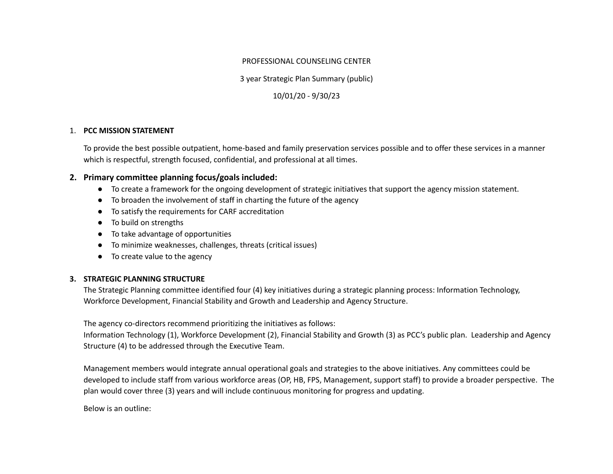#### PROFESSIONAL COUNSELING CENTER

3 year Strategic Plan Summary (public)

10/01/20 - 9/30/23

### 1. **PCC MISSION STATEMENT**

To provide the best possible outpatient, home-based and family preservation services possible and to offer these services in a manner which is respectful, strength focused, confidential, and professional at all times.

## **2. Primary committee planning focus/goals included:**

- To create a framework for the ongoing development of strategic initiatives that support the agency mission statement.
- To broaden the involvement of staff in charting the future of the agency
- To satisfy the requirements for CARF accreditation
- To build on strengths
- To take advantage of opportunities
- To minimize weaknesses, challenges, threats (critical issues)
- To create value to the agency

# **3. STRATEGIC PLANNING STRUCTURE**

The Strategic Planning committee identified four (4) key initiatives during a strategic planning process: Information Technology, Workforce Development, Financial Stability and Growth and Leadership and Agency Structure.

The agency co-directors recommend prioritizing the initiatives as follows:

Information Technology (1), Workforce Development (2), Financial Stability and Growth (3) as PCC's public plan. Leadership and Agency Structure (4) to be addressed through the Executive Team.

Management members would integrate annual operational goals and strategies to the above initiatives. Any committees could be developed to include staff from various workforce areas (OP, HB, FPS, Management, support staff) to provide a broader perspective. The plan would cover three (3) years and will include continuous monitoring for progress and updating.

Below is an outline: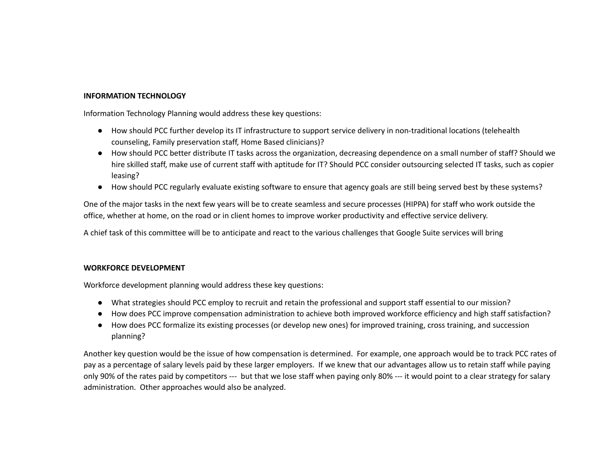#### **INFORMATION TECHNOLOGY**

Information Technology Planning would address these key questions:

- How should PCC further develop its IT infrastructure to support service delivery in non-traditional locations (telehealth counseling, Family preservation staff, Home Based clinicians)?
- How should PCC better distribute IT tasks across the organization, decreasing dependence on a small number of staff? Should we hire skilled staff, make use of current staff with aptitude for IT? Should PCC consider outsourcing selected IT tasks, such as copier leasing?
- How should PCC regularly evaluate existing software to ensure that agency goals are still being served best by these systems?

One of the major tasks in the next few years will be to create seamless and secure processes (HIPPA) for staff who work outside the office, whether at home, on the road or in client homes to improve worker productivity and effective service delivery.

A chief task of this committee will be to anticipate and react to the various challenges that Google Suite services will bring

#### **WORKFORCE DEVELOPMENT**

Workforce development planning would address these key questions:

- What strategies should PCC employ to recruit and retain the professional and support staff essential to our mission?
- How does PCC improve compensation administration to achieve both improved workforce efficiency and high staff satisfaction?
- How does PCC formalize its existing processes (or develop new ones) for improved training, cross training, and succession planning?

Another key question would be the issue of how compensation is determined. For example, one approach would be to track PCC rates of pay as a percentage of salary levels paid by these larger employers. If we knew that our advantages allow us to retain staff while paying only 90% of the rates paid by competitors --- but that we lose staff when paying only 80% --- it would point to a clear strategy for salary administration. Other approaches would also be analyzed.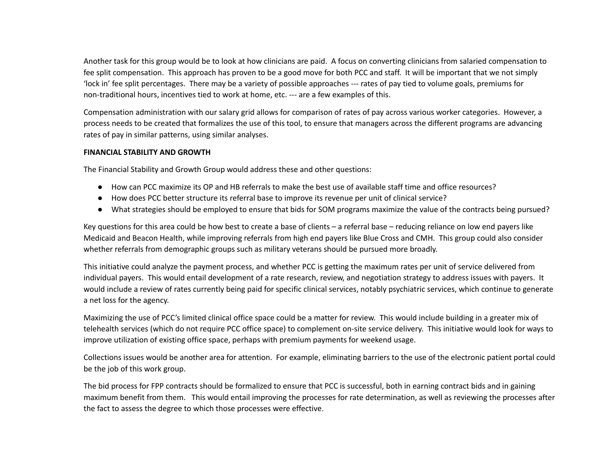Another task for this group would be to look at how clinicians are paid. A focus on converting clinicians from salaried compensation to fee split compensation. This approach has proven to be a good move for both PCC and staff. It will be important that we not simply 'lock in' fee split percentages. There may be a variety of possible approaches --- rates of pay tied to volume goals, premiums for non-traditional hours, incentives tied to work at home, etc. --- are a few examples of this.

Compensation administration with our salary grid allows for comparison of rates of pay across various worker categories. However, a process needs to be created that formalizes the use of this tool, to ensure that managers across the different programs are advancing rates of pay in similar patterns, using similar analyses.

#### **FINANCIAL STABILITY AND GROWTH**

The Financial Stability and Growth Group would address these and other questions:

- How can PCC maximize its OP and HB referrals to make the best use of available staff time and office resources?
- How does PCC better structure its referral base to improve its revenue per unit of clinical service?
- What strategies should be employed to ensure that bids for SOM programs maximize the value of the contracts being pursued?

Key questions for this area could be how best to create a base of clients – a referral base – reducing reliance on low end payers like Medicaid and Beacon Health, while improving referrals from high end payers like Blue Cross and CMH. This group could also consider whether referrals from demographic groups such as military veterans should be pursued more broadly.

This initiative could analyze the payment process, and whether PCC is getting the maximum rates per unit of service delivered from individual payers. This would entail development of a rate research, review, and negotiation strategy to address issues with payers. It would include a review of rates currently being paid for specific clinical services, notably psychiatric services, which continue to generate a net loss for the agency.

Maximizing the use of PCC's limited clinical office space could be a matter for review. This would include building in a greater mix of telehealth services (which do not require PCC office space) to complement on-site service delivery. This initiative would look for ways to improve utilization of existing office space, perhaps with premium payments for weekend usage.

Collections issues would be another area for attention. For example, eliminating barriers to the use of the electronic patient portal could be the job of this work group.

The bid process for FPP contracts should be formalized to ensure that PCC is successful, both in earning contract bids and in gaining maximum benefit from them. This would entail improving the processes for rate determination, as well as reviewing the processes after the fact to assess the degree to which those processes were effective.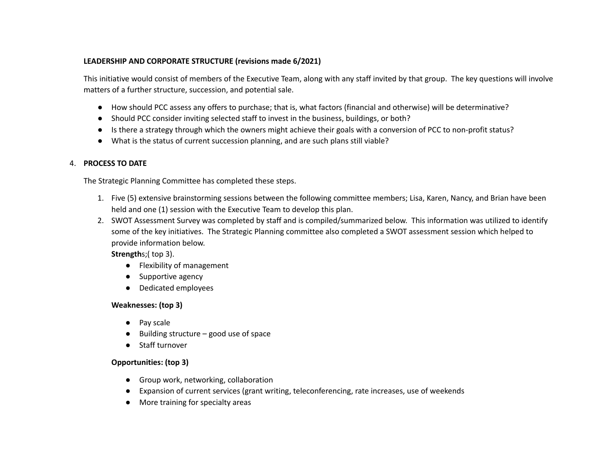### **LEADERSHIP AND CORPORATE STRUCTURE (revisions made 6/2021)**

This initiative would consist of members of the Executive Team, along with any staff invited by that group. The key questions will involve matters of a further structure, succession, and potential sale.

- How should PCC assess any offers to purchase; that is, what factors (financial and otherwise) will be determinative?
- Should PCC consider inviting selected staff to invest in the business, buildings, or both?
- Is there a strategy through which the owners might achieve their goals with a conversion of PCC to non-profit status?
- What is the status of current succession planning, and are such plans still viable?

### 4. **PROCESS TO DATE**

The Strategic Planning Committee has completed these steps.

- 1. Five (5) extensive brainstorming sessions between the following committee members; Lisa, Karen, Nancy, and Brian have been held and one (1) session with the Executive Team to develop this plan.
- 2. SWOT Assessment Survey was completed by staff and is compiled/summarized below. This information was utilized to identify some of the key initiatives. The Strategic Planning committee also completed a SWOT assessment session which helped to provide information below.

**Strength**s;( top 3).

- Flexibility of management
- Supportive agency
- Dedicated employees

# **Weaknesses: (top 3)**

- **●** Pay scale
- **●** Building structure good use of space
- **●** Staff turnover

# **Opportunities: (top 3)**

- **●** Group work, networking, collaboration
- **●** Expansion of current services (grant writing, teleconferencing, rate increases, use of weekends
- **●** More training for specialty areas